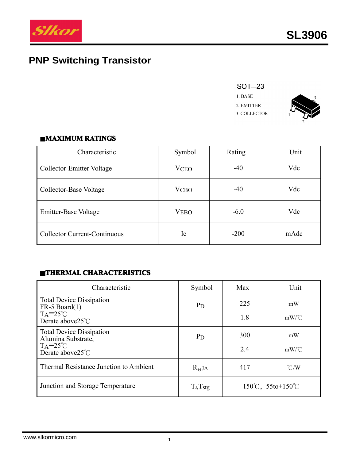

# **PNP Switching Transistor**





#### $MAXIMUM RATINGS$

| Characteristic                      | Symbol                 | Rating | Unit |
|-------------------------------------|------------------------|--------|------|
| Collector-Emitter Voltage           | <b>VCEO</b>            | $-40$  | Vdc  |
| Collector-Base Voltage              | <b>V<sub>CBO</sub></b> | $-40$  | Vdc  |
| Emitter-Base Voltage                | <b>VEBO</b>            | $-6.0$ | Vdc  |
| <b>Collector Current-Continuous</b> | Ic                     | $-200$ | mAdc |

# $\blacksquare$ **THERMAL CHARACTERISTICS**

| Characteristic                                                              | Symbol          | Max | Unit                                       |
|-----------------------------------------------------------------------------|-----------------|-----|--------------------------------------------|
| <b>Total Device Dissipation</b><br>$FR-5$ Board $(1)$<br>$TA = 25^{\circ}C$ | $P_{D}$         | 225 | mW                                         |
| Derate above $25^{\circ}$ C                                                 |                 | 1.8 | $mW$ /°C                                   |
| <b>Total Device Dissipation</b><br>Alumina Substrate,                       | $P_{D}$         | 300 | mW                                         |
| $TA = 25^{\circ}C$<br>Derate above $25^{\circ}$ C                           |                 | 2.4 | $mW$ /°C                                   |
| Thermal Resistance Junction to Ambient                                      | $R_{\Theta}$ JA | 417 | $\degree$ C/W                              |
| Junction and Storage Temperature                                            | $T_J, T_{stg}$  |     | $150^{\circ}$ C, $-55$ to $+150^{\circ}$ C |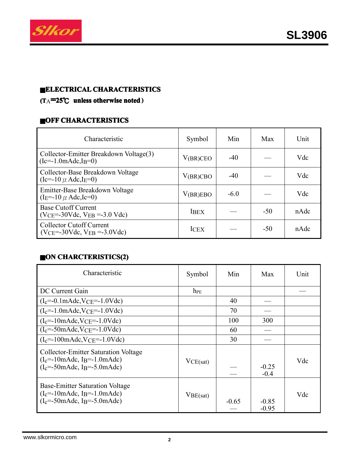

# ■**ELECTRICAL ELECTRICALCHARACTERISTICS CHARACTERISTICS**

# **(T**A**<sup>=</sup>25**℃ **unless otherwise noted )**

#### **CHARACTERISTICS**

| Characteristic                                                                           | Symbol      | Min    | <b>Max</b> | Unit |
|------------------------------------------------------------------------------------------|-------------|--------|------------|------|
| Collector-Emitter Breakdown Voltage(3)<br>$(Ic=-1.0 \text{m} \text{A} \text{d}c, I_B=0)$ | V(BR)CEO    | $-40$  |            | Vdc  |
| Collector-Base Breakdown Voltage<br>$(Ic=-10 \mu \text{ Adc}, IE=0)$                     | V(BR)CBO    | $-40$  |            | Vdc  |
| Emitter-Base Breakdown Voltage<br>$(I_E = -10 \mu \text{ Adc}, I_C = 0)$                 | V(BR)EBO    | $-6.0$ |            | Vdc  |
| <b>Base Cutoff Current</b><br>$(VCE = -30Vdc, VEB = -3.0 Vdc)$                           | <b>IBEX</b> |        | $-50$      | nAdc |
| <b>Collector Cutoff Current</b><br>$(VCE = -30Vdc, VEB = -3.0Vdc)$                       | <b>ICEX</b> |        | $-50$      | nAdc |

# ■**ON CHARCTERISTICS(2) CHARCTERISTICS(2)**

| Characteristic                                                                                                                                                   | Symbol   | Min     | Max                | Unit |
|------------------------------------------------------------------------------------------------------------------------------------------------------------------|----------|---------|--------------------|------|
| DC Current Gain                                                                                                                                                  | $h_{PE}$ |         |                    |      |
| $(I_c=-0.1 \text{m} \text{A} \text{d}c$ , $V_{CE}=-1.0 \text{V} \text{d}c$                                                                                       |          | 40      |                    |      |
| $(I_c = -1.0 \text{m} \text{A} \text{d}c$ , $V_{CE} = -1.0 \text{V} \text{d}c$                                                                                   |          | 70      |                    |      |
| $(I_c = -10 \text{m} \text{A} \text{d}c, \text{V} \text{C} \text{E} = -1.0 \text{V} \text{d}c)$                                                                  |          | 100     | 300                |      |
| $(I_c=-50$ mAdc, VCE=-1.0Vdc)                                                                                                                                    |          | 60      |                    |      |
| $(I_c = -100 \text{m} \text{A} \text{d}c$ , $V_{CE} = -1.0 \text{V} \text{d}c$                                                                                   |          | 30      |                    |      |
| <b>Collector-Emitter Saturation Voltage</b><br>$(I_c = -10 \text{m} \text{Ad}c, I_B = -1.0 \text{m} \text{Ad}c)$<br>$(I_c = -50$ mAdc, I <sub>B</sub> =-5.0mAdc) | VCE(sat) |         | $-0.25$<br>$-0.4$  | Vdc  |
| <b>Base-Emitter Saturation Voltage</b><br>$(I_c = -10 \text{m} \text{Ad}c, I_B = -1.0 \text{m} \text{Ad}c)$<br>$(I_c = -50$ mAdc, I <sub>B</sub> =-5.0mAdc)      | VBE(sat) | $-0.65$ | $-0.85$<br>$-0.95$ | Vdc  |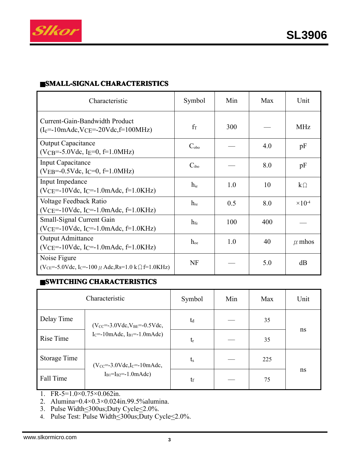

# ■**SMALL-SIGNAL SMALL-SIGNALCHARACTERISTICS CHARACTERISTICS**

| Characteristic                                                                                                                      | Symbol          | Min | Max | Unit                      |
|-------------------------------------------------------------------------------------------------------------------------------------|-----------------|-----|-----|---------------------------|
| Current-Gain-Bandwidth Product<br>$(I_c = 10 \text{m} \text{A} \text{d}c$ , $V_{CE} = 20 \text{V} \text{d}c$ , $f = 100 \text{MHz}$ | $f_T$           | 300 |     | <b>MHz</b>                |
| <b>Output Capacitance</b><br>$(VCB=-5.0Vdc, IE=0, f=1.0MHz)$                                                                        | $C_{\rm obo}$   |     | 4.0 | pF                        |
| <b>Input Capacitance</b><br>$(VEB=-0.5Vdc, I_C=0, f=1.0MHz)$                                                                        | $C_{ibo}$       |     | 8.0 | pF                        |
| Input Impedance<br>$(VCE=-10Vdc, IC=-1.0mAdc, f=1.0KHz)$                                                                            | $h_{ie}$        | 1.0 | 10  | $k\Omega$                 |
| Voltage Feedback Ratio<br>(VCE=-10Vdc, IC=-1.0mAdc, $f=1.0$ KHz)                                                                    | $h_{\text{re}}$ | 0.5 | 8.0 | $\times$ 10 <sup>-4</sup> |
| Small-Signal Current Gain<br>$(VCE=-10Vdc, IC=-1.0mAdc, f=1.0KHz)$                                                                  | h <sub>fe</sub> | 100 | 400 |                           |
| <b>Output Admittance</b><br>$(VCE=-10Vdc, IC=-1.0mAdc, f=1.0KHz)$                                                                   | $h_{oe}$        | 1.0 | 40  | $\mu$ mhos                |
| Noise Figure<br>$(V_{CE} = -5.0 Vdc, I_C = -100 \mu \text{ Adc}, Rs = 1.0 k \Omega = 1.0 KHz)$                                      | NF              |     | 5.0 | dB                        |

# ■**SWITCHING CHARACTERISTICS CHARACTERISTICS CHARACTERISTICS**

|              | Characteristic                                                                                |                | Min | Max | Unit |
|--------------|-----------------------------------------------------------------------------------------------|----------------|-----|-----|------|
| Delay Time   | $(V_{CC} = -3.0 \text{Vdc}, V_{BE} = -0.5 \text{Vdc},$                                        | t <sub>d</sub> |     | 35  |      |
| Rise Time    | $I_C = -10$ mAdc, $I_{B1} = -1.0$ mAdc)                                                       | $t_{r}$        |     | 35  | ns   |
| Storage Time | $(V_{CC} = -3.0 \text{Vdc}, I_C = -10 \text{m} \text{Adc},$<br>$I_{B1} = I_{B2} = -1.0$ mAdc) | $t_{\rm s}$    |     | 225 |      |
| Fall Time    |                                                                                               | $t_f$          |     | 75  | ns   |

- 1. FR-5= $1.0 \times 0.75 \times 0.062$ in.
- 2. Alumina=0.4×0.3×0.024in.99.5%alumina.
- 3. Pulse Width<300us;Duty Cycle<2.0%.
- 4. Pulse Test: Pulse Width \lequity Cycle \lequity Cycle \lequity Cycle \lequity Cycle \lequity Cycle \lequity Cycle \lequity Cycle \lequity Cycle \lequity Cycle \lequity Cycle \lequity Cycle \lequity Cycle \lequity Cycle